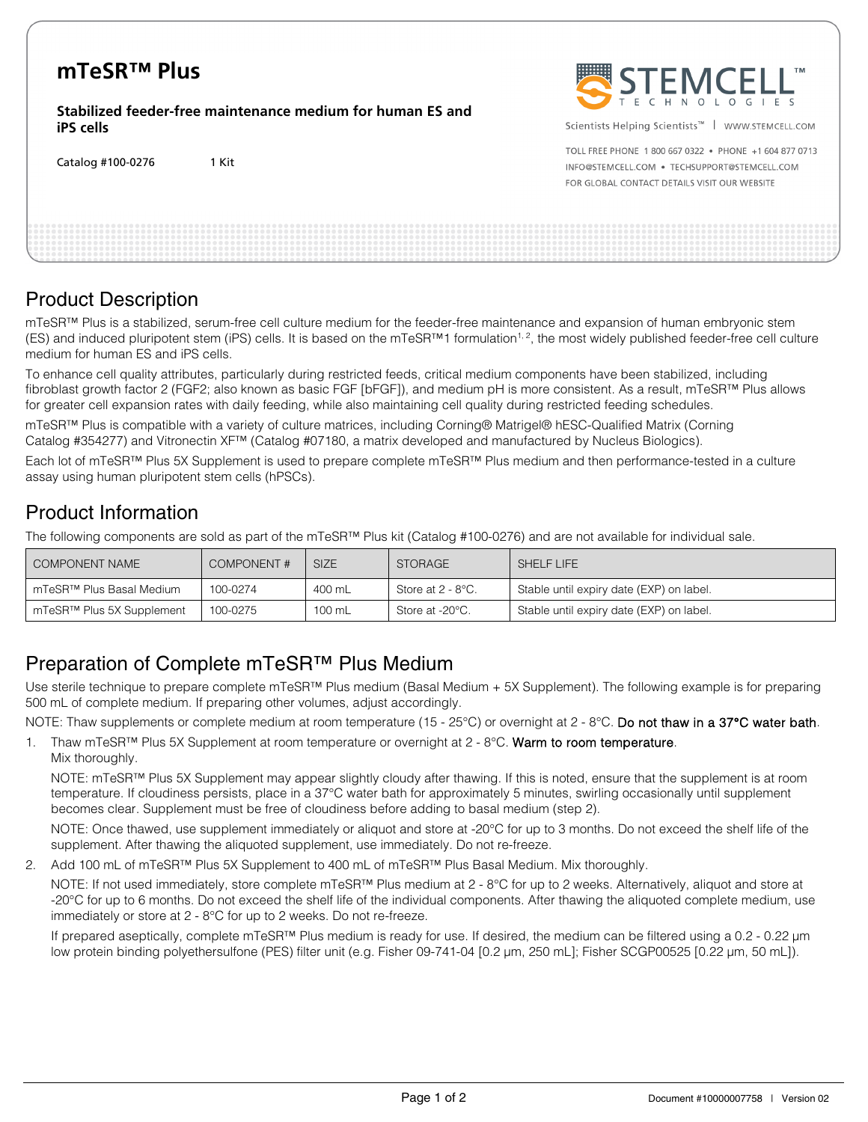# **mTeSR™ Plus**

**Stabilized feeder-free maintenance medium for human ES and iPS cells**

Catalog #100-0276 1 Kit



Scientists Helping Scientists<sup>™</sup> | WWW.STEMCELL.COM

TOLL FREE PHONE 1 800 667 0322 . PHONE +1 604 877 0713 INFO@STEMCELL.COM . TECHSUPPORT@STEMCELL.COM FOR GLOBAL CONTACT DETAILS VISIT OUR WEBSITE

## Product Description

mTeSR™ Plus is a stabilized, serum-free cell culture medium for the feeder-free maintenance and expansion of human embryonic stem (ES) and induced pluripotent stem (iPS) cells. It is based on the mTeSR™1 formulation<sup>1, 2</sup>, the most widely published feeder-free cell culture medium for human ES and iPS cells.

To enhance cell quality attributes, particularly during restricted feeds, critical medium components have been stabilized, including fibroblast growth factor 2 (FGF2; also known as basic FGF [bFGF]), and medium pH is more consistent. As a result, mTeSR™ Plus allows for greater cell expansion rates with daily feeding, while also maintaining cell quality during restricted feeding schedules.

mTeSR™ Plus is compatible with a variety of culture matrices, including Corning® Matrigel® hESC-Qualified Matrix (Corning Catalog #354277) and Vitronectin XF™ (Catalog #07180, a matrix developed and manufactured by Nucleus Biologics).

Each lot of mTeSR™ Plus 5X Supplement is used to prepare complete mTeSR™ Plus medium and then performance-tested in a culture assay using human pluripotent stem cells (hPSCs).

## Product Information

The following components are sold as part of the mTeSR™ Plus kit (Catalog #100-0276) and are not available for individual sale.

| <b>COMPONENT NAME</b>                | <b>COMPONENT#</b> | SIZE.  | <b>STORAGE</b>    | SHELF LIFE                               |
|--------------------------------------|-------------------|--------|-------------------|------------------------------------------|
| mTeSR <sup>™</sup> Plus Basal Medium | 100-0274          | 400 mL | Store at 2 - 8°C. | Stable until expiry date (EXP) on label. |
| mTeSR™ Plus 5X Supplement            | 100-0275          | 100 mL | Store at -20°C.   | Stable until expiry date (EXP) on label. |

## Preparation of Complete mTeSR™ Plus Medium

Use sterile technique to prepare complete mTeSR™ Plus medium (Basal Medium + 5X Supplement). The following example is for preparing 500 mL of complete medium. If preparing other volumes, adjust accordingly.

NOTE: Thaw supplements or complete medium at room temperature (15 - 25°C) or overnight at 2 - 8°C. Do not thaw in a 37°C water bath.

1. Thaw mTeSR™ Plus 5X Supplement at room temperature or overnight at 2 - 8°C. Warm to room temperature. Mix thoroughly.

NOTE: mTeSR<sup>™</sup> Plus 5X Supplement may appear slightly cloudy after thawing. If this is noted, ensure that the supplement is at room temperature. If cloudiness persists, place in a 37°C water bath for approximately 5 minutes, swirling occasionally until supplement becomes clear. Supplement must be free of cloudiness before adding to basal medium (step 2).

NOTE: Once thawed, use supplement immediately or aliquot and store at -20°C for up to 3 months. Do not exceed the shelf life of the supplement. After thawing the aliquoted supplement, use immediately. Do not re-freeze.

2. Add 100 mL of mTeSR™ Plus 5X Supplement to 400 mL of mTeSR™ Plus Basal Medium. Mix thoroughly.

NOTE: If not used immediately, store complete mTeSR™ Plus medium at 2 - 8°C for up to 2 weeks. Alternatively, aliquot and store at -20°C for up to 6 months. Do not exceed the shelf life of the individual components. After thawing the aliquoted complete medium, use immediately or store at 2 - 8°C for up to 2 weeks. Do not re-freeze.

If prepared aseptically, complete mTeSR™ Plus medium is ready for use. If desired, the medium can be filtered using a 0.2 - 0.22 µm low protein binding polyethersulfone (PES) filter unit (e.g. Fisher 09-741-04 [0.2 µm, 250 mL]; Fisher SCGP00525 [0.22 µm, 50 mL]).